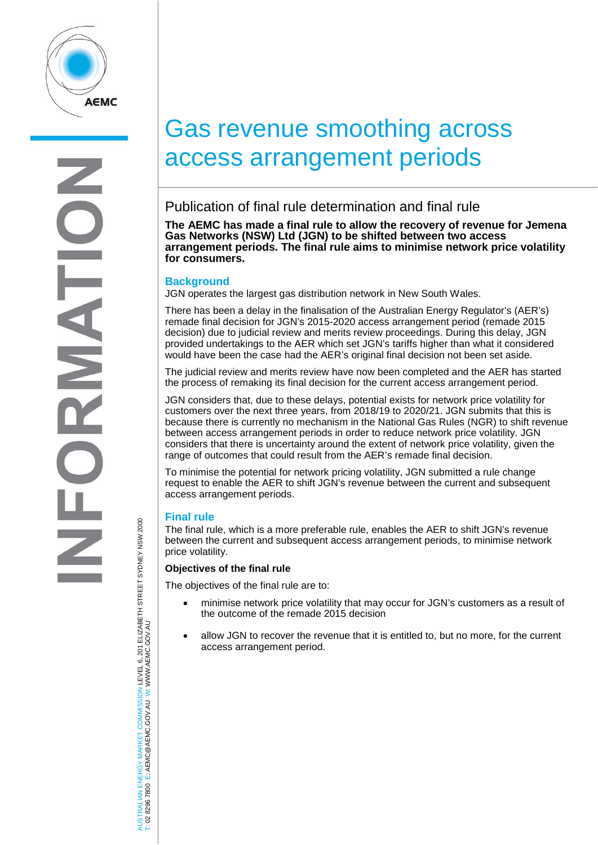

# Gas revenue smoothing across access arrangement periods

# Publication of final rule determination and final rule

**The AEMC has made a final rule to allow the recovery of revenue for Jemena Gas Networks (NSW) Ltd (JGN) to be shifted between two access arrangement periods. The final rule aims to minimise network price volatility for consumers.**

## **Background**

JGN operates the largest gas distribution network in New South Wales.

There has been a delay in the finalisation of the Australian Energy Regulator's (AER's) remade final decision for JGN's 2015-2020 access arrangement period (remade 2015 decision) due to judicial review and merits review proceedings. During this delay, JGN provided undertakings to the AER which set JGN's tariffs higher than what it considered would have been the case had the AER's original final decision not been set aside.

The judicial review and merits review have now been completed and the AER has started the process of remaking its final decision for the current access arrangement period.

JGN considers that, due to these delays, potential exists for network price volatility for customers over the next three years, from 2018/19 to 2020/21. JGN submits that this is because there is currently no mechanism in the National Gas Rules (NGR) to shift revenue between access arrangement periods in order to reduce network price volatility. JGN considers that there is uncertainty around the extent of network price volatility, given the range of outcomes that could result from the AER's remade final decision.

To minimise the potential for network pricing volatility, JGN submitted a rule change request to enable the AER to shift JGN's revenue between the current and subsequent access arrangement periods.

# **Final rule**

The final rule, which is a more preferable rule, enables the AER to shift JGN's revenue between the current and subsequent access arrangement periods, to minimise network price volatility.

### **Objectives of the final rule**

The objectives of the final rule are to:

- minimise network price volatility that may occur for JGN's customers as a result of the outcome of the remade 2015 decision
- allow JGN to recover the revenue that it is entitled to, but no more, for the current access arrangement period.

ISTRALIAN ENERGY MARKET COMMISSION LEVEL 6, 201 ELIZABETH STREET SYDNEY NSW 2000<br>02 8296 7800 E: AEMC@AEMC.GOV.AU W: WWW.AEMC.GOV.AU AUSTRALIAN ENERGY MARKET COMMISSION LEVEL 6, 201 ELIZABETH STREET SYDNEY NSW 2000 W: WWW.AEMC.GOV.AU T: 02 8296 7800 E: AEMC@AEMC.GOV.AU